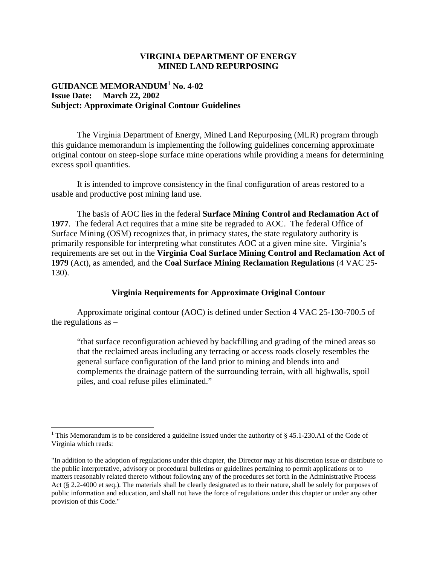## **VIRGINIA DEPARTMENT OF ENERGY MINED LAND REPURPOSING**

# **GUIDANCE MEMORANDUM<sup>1</sup> No. 4-02 Issue Date: March 22, 2002 Subject: Approximate Original Contour Guidelines**

The Virginia Department of Energy, Mined Land Repurposing (MLR) program through this guidance memorandum is implementing the following guidelines concerning approximate original contour on steep-slope surface mine operations while providing a means for determining excess spoil quantities.

It is intended to improve consistency in the final configuration of areas restored to a usable and productive post mining land use.

The basis of AOC lies in the federal **Surface Mining Control and Reclamation Act of 1977**. The federal Act requires that a mine site be regraded to AOC. The federal Office of Surface Mining (OSM) recognizes that, in primacy states, the state regulatory authority is primarily responsible for interpreting what constitutes AOC at a given mine site. Virginia's requirements are set out in the **Virginia Coal Surface Mining Control and Reclamation Act of 1979** (Act), as amended, and the **Coal Surface Mining Reclamation Regulations** (4 VAC 25- 130).

## **Virginia Requirements for Approximate Original Contour**

Approximate original contour (AOC) is defined under Section 4 VAC 25-130-700.5 of the regulations as –

"that surface reconfiguration achieved by backfilling and grading of the mined areas so that the reclaimed areas including any terracing or access roads closely resembles the general surface configuration of the land prior to mining and blends into and complements the drainage pattern of the surrounding terrain, with all highwalls, spoil piles, and coal refuse piles eliminated."

<sup>&</sup>lt;sup>1</sup> This Memorandum is to be considered a guideline issued under the authority of  $\S$  45.1-230.A1 of the Code of Virginia which reads:

<sup>&</sup>quot;In addition to the adoption of regulations under this chapter, the Director may at his discretion issue or distribute to the public interpretative, advisory or procedural bulletins or guidelines pertaining to permit applications or to matters reasonably related thereto without following any of the procedures set forth in the Administrative Process Act (§ 2.2-4000 et seq.). The materials shall be clearly designated as to their nature, shall be solely for purposes of public information and education, and shall not have the force of regulations under this chapter or under any other provision of this Code."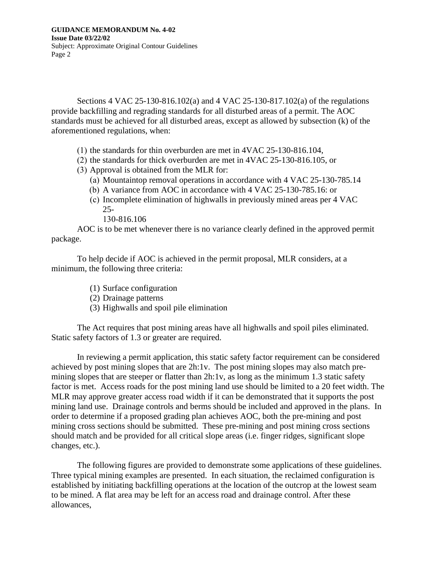Sections 4 VAC 25-130-816.102(a) and 4 VAC 25-130-817.102(a) of the regulations provide backfilling and regrading standards for all disturbed areas of a permit. The AOC standards must be achieved for all disturbed areas, except as allowed by subsection (k) of the aforementioned regulations, when:

- (1) the standards for thin overburden are met in 4VAC 25-130-816.104,
- (2) the standards for thick overburden are met in 4VAC 25-130-816.105, or
- (3) Approval is obtained from the MLR for:
	- (a) Mountaintop removal operations in accordance with 4 VAC 25-130-785.14
	- (b) A variance from AOC in accordance with 4 VAC 25-130-785.16: or
	- (c) Incomplete elimination of highwalls in previously mined areas per 4 VAC 25-
		- 130-816.106

AOC is to be met whenever there is no variance clearly defined in the approved permit package.

To help decide if AOC is achieved in the permit proposal, MLR considers, at a minimum, the following three criteria:

- (1) Surface configuration
- (2) Drainage patterns
- (3) Highwalls and spoil pile elimination

The Act requires that post mining areas have all highwalls and spoil piles eliminated. Static safety factors of 1.3 or greater are required.

In reviewing a permit application, this static safety factor requirement can be considered achieved by post mining slopes that are 2h:1v. The post mining slopes may also match premining slopes that are steeper or flatter than 2h:1v, as long as the minimum 1.3 static safety factor is met. Access roads for the post mining land use should be limited to a 20 feet width. The MLR may approve greater access road width if it can be demonstrated that it supports the post mining land use. Drainage controls and berms should be included and approved in the plans. In order to determine if a proposed grading plan achieves AOC, both the pre-mining and post mining cross sections should be submitted. These pre-mining and post mining cross sections should match and be provided for all critical slope areas (i.e. finger ridges, significant slope changes, etc.).

The following figures are provided to demonstrate some applications of these guidelines. Three typical mining examples are presented. In each situation, the reclaimed configuration is established by initiating backfilling operations at the location of the outcrop at the lowest seam to be mined. A flat area may be left for an access road and drainage control. After these allowances,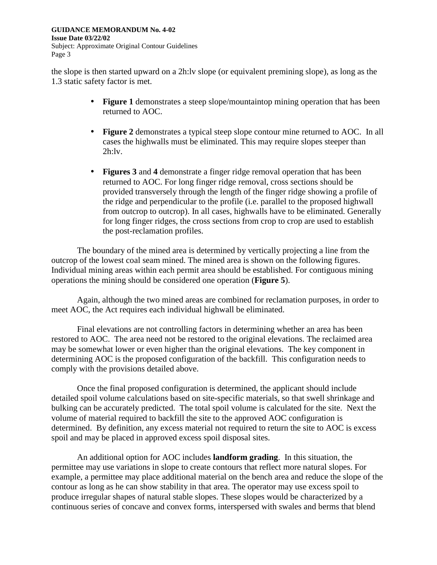the slope is then started upward on a 2h:lv slope (or equivalent premining slope), as long as the 1.3 static safety factor is met.

- **Figure 1** demonstrates a steep slope/mountaintop mining operation that has been returned to AOC.
- **Figure 2** demonstrates a typical steep slope contour mine returned to AOC. In all cases the highwalls must be eliminated. This may require slopes steeper than  $2h:$ lv.
- **Figures 3** and 4 demonstrate a finger ridge removal operation that has been returned to AOC. For long finger ridge removal, cross sections should be provided transversely through the length of the finger ridge showing a profile of the ridge and perpendicular to the profile (i.e. parallel to the proposed highwall from outcrop to outcrop). In all cases, highwalls have to be eliminated. Generally for long finger ridges, the cross sections from crop to crop are used to establish the post-reclamation profiles.

The boundary of the mined area is determined by vertically projecting a line from the outcrop of the lowest coal seam mined. The mined area is shown on the following figures. Individual mining areas within each permit area should be established. For contiguous mining operations the mining should be considered one operation (**Figure 5**).

Again, although the two mined areas are combined for reclamation purposes, in order to meet AOC, the Act requires each individual highwall be eliminated.

Final elevations are not controlling factors in determining whether an area has been restored to AOC. The area need not be restored to the original elevations. The reclaimed area may be somewhat lower or even higher than the original elevations. The key component in determining AOC is the proposed configuration of the backfill. This configuration needs to comply with the provisions detailed above.

Once the final proposed configuration is determined, the applicant should include detailed spoil volume calculations based on site-specific materials, so that swell shrinkage and bulking can be accurately predicted. The total spoil volume is calculated for the site. Next the volume of material required to backfill the site to the approved AOC configuration is determined. By definition, any excess material not required to return the site to AOC is excess spoil and may be placed in approved excess spoil disposal sites.

An additional option for AOC includes **landform grading**. In this situation, the permittee may use variations in slope to create contours that reflect more natural slopes. For example, a permittee may place additional material on the bench area and reduce the slope of the contour as long as he can show stability in that area. The operator may use excess spoil to produce irregular shapes of natural stable slopes. These slopes would be characterized by a continuous series of concave and convex forms, interspersed with swales and berms that blend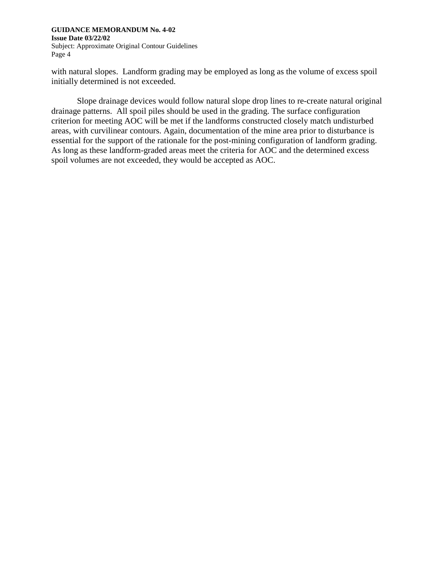with natural slopes. Landform grading may be employed as long as the volume of excess spoil initially determined is not exceeded.

Slope drainage devices would follow natural slope drop lines to re-create natural original drainage patterns. All spoil piles should be used in the grading. The surface configuration criterion for meeting AOC will be met if the landforms constructed closely match undisturbed areas, with curvilinear contours. Again, documentation of the mine area prior to disturbance is essential for the support of the rationale for the post-mining configuration of landform grading. As long as these landform-graded areas meet the criteria for AOC and the determined excess spoil volumes are not exceeded, they would be accepted as AOC.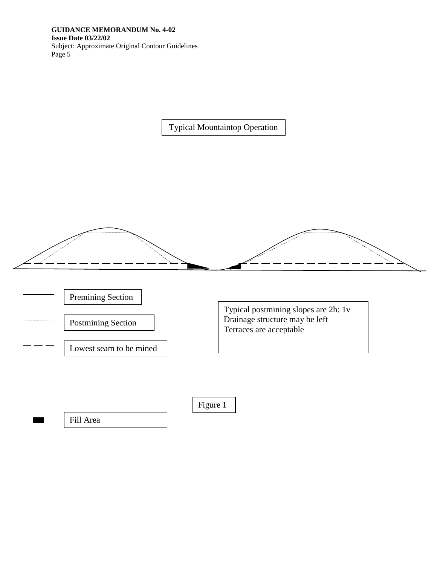Typical Mountaintop Operation



Premining Section

Postmining Section

Lowest seam to be mined

Typical postmining slopes are 2h: 1v Drainage structure may be left Terraces are acceptable

Figure 1

Fill Area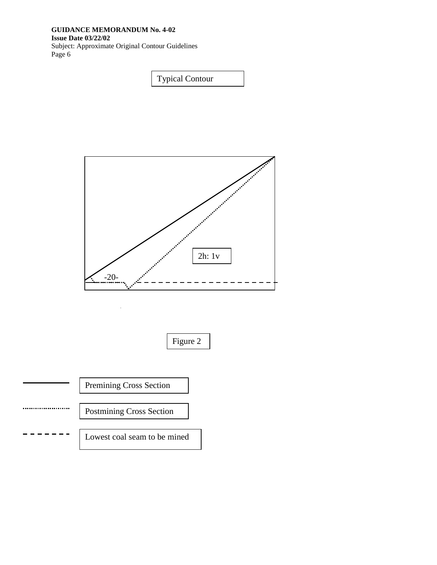### **GUIDANCE MEMORANDUM No. 4-02 Issue Date 03/22/02**

Subject: Approximate Original Contour Guidelines Page 6

Typical Contour



Figure 2

Premining Cross Section

.....................

Postmining Cross Section

Lowest coal seam to be mined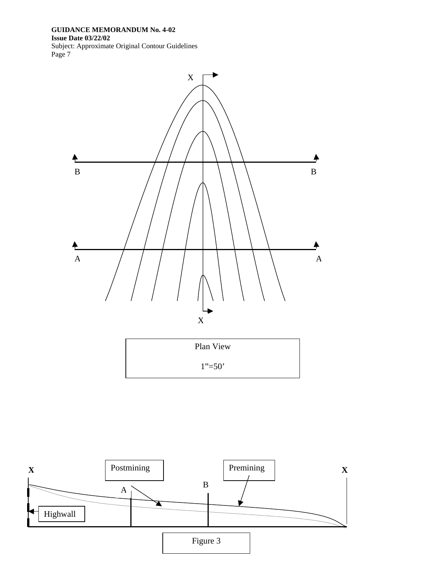Page 7



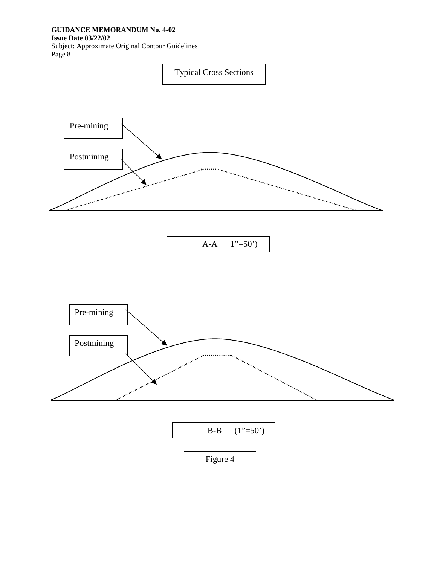## **GUIDANCE MEMORANDUM No. 4-02**

#### **Issue Date 03/22/02**

Subject: Approximate Original Contour Guidelines Page 8